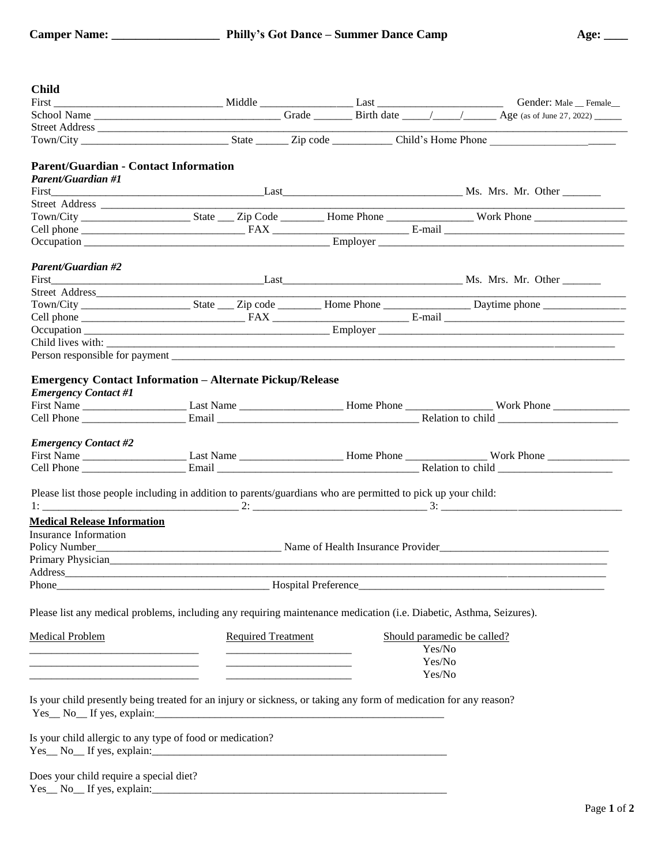| <b>Camper Name:</b> |  |
|---------------------|--|
|---------------------|--|

| <b>Child</b>                                                                                                        |                           |  |        |                                                                                                                                                                                                                               |
|---------------------------------------------------------------------------------------------------------------------|---------------------------|--|--------|-------------------------------------------------------------------------------------------------------------------------------------------------------------------------------------------------------------------------------|
|                                                                                                                     |                           |  |        |                                                                                                                                                                                                                               |
|                                                                                                                     |                           |  |        | First Conder: Male Conder: Male Conder: Male Conder: Male Conder: Male Conder: Male Conder: Male Conder: Male Conder: Male Conder: Male Conder: Male Conder: Male Conder: Male Conder: Male Conder: Male Conder: Male Conder: |
|                                                                                                                     |                           |  |        |                                                                                                                                                                                                                               |
|                                                                                                                     |                           |  |        |                                                                                                                                                                                                                               |
| <b>Parent/Guardian - Contact Information</b>                                                                        |                           |  |        |                                                                                                                                                                                                                               |
| <b>Parent/Guardian #1</b>                                                                                           |                           |  |        |                                                                                                                                                                                                                               |
|                                                                                                                     |                           |  |        |                                                                                                                                                                                                                               |
|                                                                                                                     |                           |  |        |                                                                                                                                                                                                                               |
|                                                                                                                     |                           |  |        |                                                                                                                                                                                                                               |
|                                                                                                                     |                           |  |        |                                                                                                                                                                                                                               |
|                                                                                                                     |                           |  |        |                                                                                                                                                                                                                               |
| Parent/Guardian #2                                                                                                  |                           |  |        |                                                                                                                                                                                                                               |
|                                                                                                                     |                           |  |        |                                                                                                                                                                                                                               |
|                                                                                                                     |                           |  |        |                                                                                                                                                                                                                               |
|                                                                                                                     |                           |  |        |                                                                                                                                                                                                                               |
|                                                                                                                     |                           |  |        |                                                                                                                                                                                                                               |
|                                                                                                                     |                           |  |        |                                                                                                                                                                                                                               |
|                                                                                                                     |                           |  |        |                                                                                                                                                                                                                               |
|                                                                                                                     |                           |  |        |                                                                                                                                                                                                                               |
| <b>Emergency Contact Information - Alternate Pickup/Release</b>                                                     |                           |  |        |                                                                                                                                                                                                                               |
| <b>Emergency Contact #1</b>                                                                                         |                           |  |        |                                                                                                                                                                                                                               |
|                                                                                                                     |                           |  |        |                                                                                                                                                                                                                               |
|                                                                                                                     |                           |  |        |                                                                                                                                                                                                                               |
| <b>Emergency Contact #2</b>                                                                                         |                           |  |        |                                                                                                                                                                                                                               |
|                                                                                                                     |                           |  |        |                                                                                                                                                                                                                               |
|                                                                                                                     |                           |  |        |                                                                                                                                                                                                                               |
| Please list those people including in addition to parents/guardians who are permitted to pick up your child:        |                           |  |        |                                                                                                                                                                                                                               |
|                                                                                                                     |                           |  |        |                                                                                                                                                                                                                               |
| <b>Medical Release Information</b>                                                                                  |                           |  |        |                                                                                                                                                                                                                               |
| Insurance Information                                                                                               |                           |  |        |                                                                                                                                                                                                                               |
|                                                                                                                     |                           |  |        |                                                                                                                                                                                                                               |
| Primary Physician<br><u>Primary Physician</u>                                                                       |                           |  |        |                                                                                                                                                                                                                               |
| Address                                                                                                             |                           |  |        |                                                                                                                                                                                                                               |
|                                                                                                                     |                           |  |        |                                                                                                                                                                                                                               |
| Please list any medical problems, including any requiring maintenance medication (i.e. Diabetic, Asthma, Seizures). |                           |  |        |                                                                                                                                                                                                                               |
| <b>Medical Problem</b>                                                                                              | <b>Required Treatment</b> |  |        | Should paramedic be called?                                                                                                                                                                                                   |
|                                                                                                                     |                           |  | Yes/No |                                                                                                                                                                                                                               |
|                                                                                                                     |                           |  | Yes/No |                                                                                                                                                                                                                               |
|                                                                                                                     |                           |  | Yes/No |                                                                                                                                                                                                                               |
| Is your child presently being treated for an injury or sickness, or taking any form of medication for any reason?   |                           |  |        |                                                                                                                                                                                                                               |
| Is your child allergic to any type of food or medication?<br>$Yes_ No_ If yes, explain:$                            |                           |  |        |                                                                                                                                                                                                                               |
| Does your child require a special diet?<br>$Yes_ No_ If yes, explain:$                                              |                           |  |        |                                                                                                                                                                                                                               |